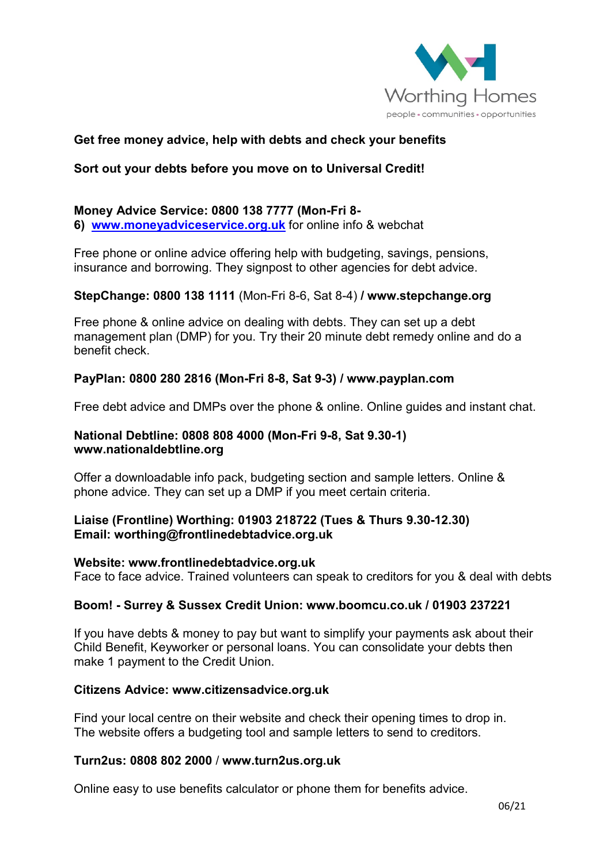

# **Get free money advice, help with debts and check your benefits**

# **Sort out your debts before you move on to Universal Credit!**

#### **Money Advice Service: 0800 138 7777 (Mon-Fri 8- 6) [www.moneyadviceservice.org.uk](http://www.moneyadviceservice.org.uk/)** for online info & webchat

Free phone or online advice offering help with budgeting, savings, pensions, insurance and borrowing. They signpost to other agencies for debt advice.

## **StepChange: 0800 138 1111** (Mon-Fri 8-6, Sat 8-4) **/ www.stepchange.org**

Free phone & online advice on dealing with debts. They can set up a debt management plan (DMP) for you. Try their 20 minute debt remedy online and do a benefit check.

# **PayPlan: 0800 280 2816 (Mon-Fri 8-8, Sat 9-3) / [www.payplan.com](http://www.payplan.com/)**

Free debt advice and DMPs over the phone & online. Online guides and instant chat.

## **National Debtline: 0808 808 4000 (Mon-Fri 9-8, Sat 9.30-1) www.nationaldebtline.org**

Offer a downloadable info pack, budgeting section and sample letters. Online & phone advice. They can set up a DMP if you meet certain criteria.

## **Liaise (Frontline) Worthing: 01903 218722 (Tues & Thurs 9.30-12.30) Email: [worthing@frontlinedebtadvice.org.uk](mailto:worthing@frontlinedebtadvice.org.uk)**

## **Website: [www.frontlinedebtadvice.org.uk](http://www.frontlinedebtadvice.org.uk/)**

Face to face advice. Trained volunteers can speak to creditors for you & deal with debts

## **Boom! - Surrey & Sussex Credit Union: [www.boomcu.co.uk](http://www.boomcu.co.uk/) / 01903 237221**

If you have debts & money to pay but want to simplify your payments ask about their Child Benefit, Keyworker or personal loans. You can consolidate your debts then make 1 payment to the Credit Union.

### **Citizens Advice: www.citizensadvice.org.uk**

Find your local centre on their website and check their opening times to drop in. The website offers a budgeting tool and sample letters to send to creditors.

### **Turn2us: 0808 802 2000** / **www.turn2us.org.uk**

Online easy to use benefits calculator or phone them for benefits advice.